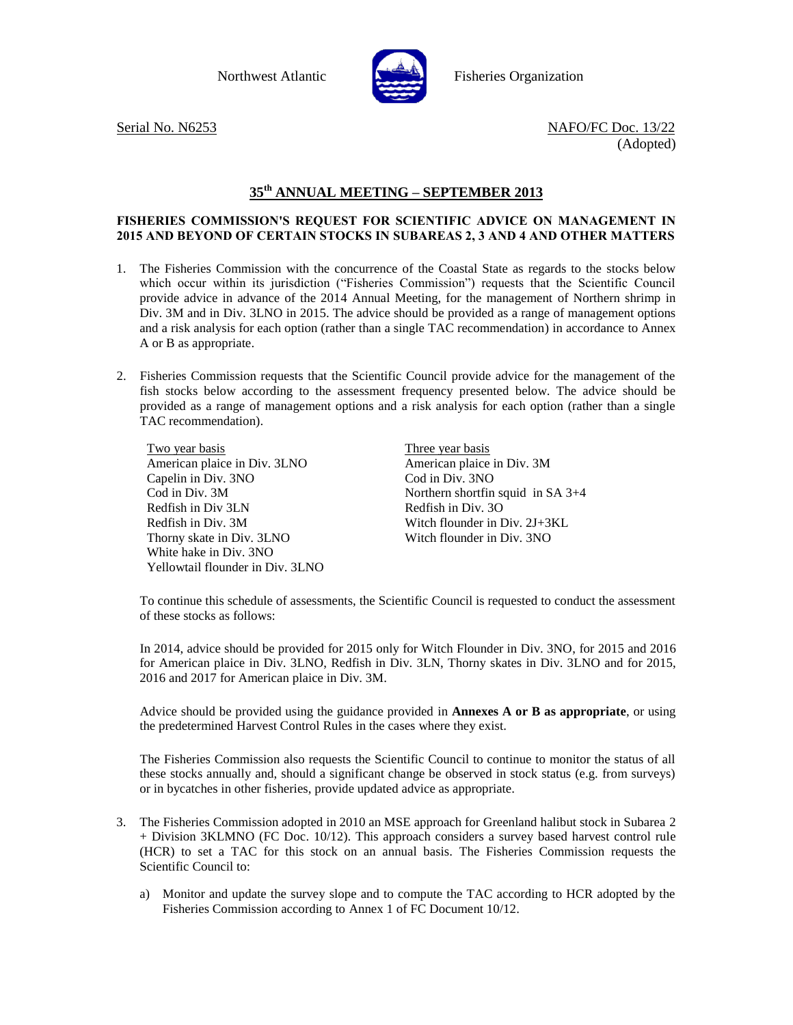

Northwest Atlantic Fisheries Organization

Serial No. N6253 NAFO/FC Doc. 13/22 (Adopted)

## **35 th ANNUAL MEETING – SEPTEMBER 2013**

## **FISHERIES COMMISSION'S REQUEST FOR SCIENTIFIC ADVICE ON MANAGEMENT IN 2015 AND BEYOND OF CERTAIN STOCKS IN SUBAREAS 2, 3 AND 4 AND OTHER MATTERS**

- 1. The Fisheries Commission with the concurrence of the Coastal State as regards to the stocks below which occur within its jurisdiction ("Fisheries Commission") requests that the Scientific Council provide advice in advance of the 2014 Annual Meeting, for the management of Northern shrimp in Div. 3M and in Div. 3LNO in 2015. The advice should be provided as a range of management options and a risk analysis for each option (rather than a single TAC recommendation) in accordance to Annex A or B as appropriate.
- 2. Fisheries Commission requests that the Scientific Council provide advice for the management of the fish stocks below according to the assessment frequency presented below. The advice should be provided as a range of management options and a risk analysis for each option (rather than a single TAC recommendation).

Two year basis American plaice in Div. 3LNO Capelin in Div. 3NO Cod in Div. 3M Redfish in Div 3LN Redfish in Div. 3M Thorny skate in Div. 3LNO White hake in Div. 3NO Yellowtail flounder in Div. 3LNO Three year basis American plaice in Div. 3M Cod in Div. 3NO Northern shortfin squid in SA 3+4 Redfish in Div. 3O Witch flounder in Div. 2J+3KL Witch flounder in Div. 3NO

To continue this schedule of assessments, the Scientific Council is requested to conduct the assessment of these stocks as follows:

In 2014, advice should be provided for 2015 only for Witch Flounder in Div. 3NO, for 2015 and 2016 for American plaice in Div. 3LNO, Redfish in Div. 3LN, Thorny skates in Div. 3LNO and for 2015, 2016 and 2017 for American plaice in Div. 3M.

Advice should be provided using the guidance provided in **Annexes A or B as appropriate**, or using the predetermined Harvest Control Rules in the cases where they exist.

The Fisheries Commission also requests the Scientific Council to continue to monitor the status of all these stocks annually and, should a significant change be observed in stock status (e.g. from surveys) or in bycatches in other fisheries, provide updated advice as appropriate.

- 3. The Fisheries Commission adopted in 2010 an MSE approach for Greenland halibut stock in Subarea 2 + Division 3KLMNO (FC Doc. 10/12). This approach considers a survey based harvest control rule (HCR) to set a TAC for this stock on an annual basis. The Fisheries Commission requests the Scientific Council to:
	- a) Monitor and update the survey slope and to compute the TAC according to HCR adopted by the Fisheries Commission according to Annex 1 of FC Document 10/12.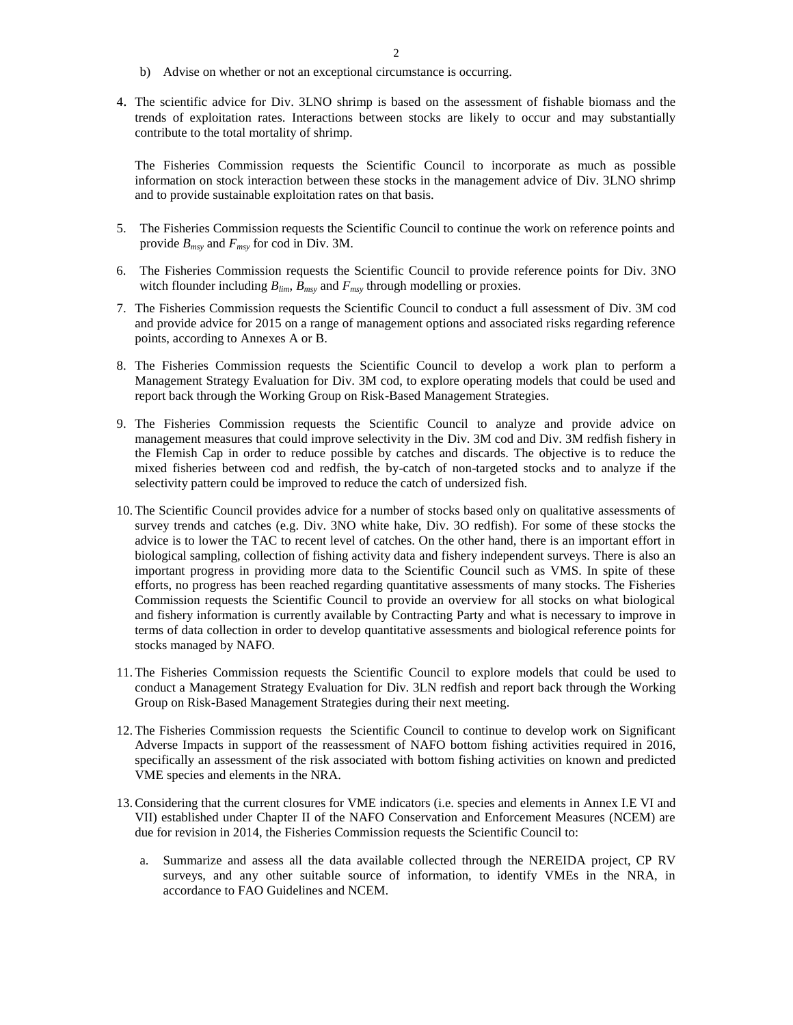- b) Advise on whether or not an exceptional circumstance is occurring.
- 4. The scientific advice for Div. 3LNO shrimp is based on the assessment of fishable biomass and the trends of exploitation rates. Interactions between stocks are likely to occur and may substantially contribute to the total mortality of shrimp.

The Fisheries Commission requests the Scientific Council to incorporate as much as possible information on stock interaction between these stocks in the management advice of Div. 3LNO shrimp and to provide sustainable exploitation rates on that basis.

- 5. The Fisheries Commission requests the Scientific Council to continue the work on reference points and provide *Bmsy* and *Fmsy* for cod in Div. 3M.
- 6. The Fisheries Commission requests the Scientific Council to provide reference points for Div. 3NO witch flounder including  $B_{lim}$ ,  $B_{max}$  and  $F_{max}$  through modelling or proxies.
- 7. The Fisheries Commission requests the Scientific Council to conduct a full assessment of Div. 3M cod and provide advice for 2015 on a range of management options and associated risks regarding reference points, according to Annexes A or B.
- 8. The Fisheries Commission requests the Scientific Council to develop a work plan to perform a Management Strategy Evaluation for Div. 3M cod, to explore operating models that could be used and report back through the Working Group on Risk-Based Management Strategies.
- 9. The Fisheries Commission requests the Scientific Council to analyze and provide advice on management measures that could improve selectivity in the Div. 3M cod and Div. 3M redfish fishery in the Flemish Cap in order to reduce possible by catches and discards. The objective is to reduce the mixed fisheries between cod and redfish, the by-catch of non-targeted stocks and to analyze if the selectivity pattern could be improved to reduce the catch of undersized fish.
- 10. The Scientific Council provides advice for a number of stocks based only on qualitative assessments of survey trends and catches (e.g. Div. 3NO white hake, Div. 3O redfish). For some of these stocks the advice is to lower the TAC to recent level of catches. On the other hand, there is an important effort in biological sampling, collection of fishing activity data and fishery independent surveys. There is also an important progress in providing more data to the Scientific Council such as VMS. In spite of these efforts, no progress has been reached regarding quantitative assessments of many stocks. The Fisheries Commission requests the Scientific Council to provide an overview for all stocks on what biological and fishery information is currently available by Contracting Party and what is necessary to improve in terms of data collection in order to develop quantitative assessments and biological reference points for stocks managed by NAFO.
- 11. The Fisheries Commission requests the Scientific Council to explore models that could be used to conduct a Management Strategy Evaluation for Div. 3LN redfish and report back through the Working Group on Risk-Based Management Strategies during their next meeting.
- 12. The Fisheries Commission requests the Scientific Council to continue to develop work on Significant Adverse Impacts in support of the reassessment of NAFO bottom fishing activities required in 2016, specifically an assessment of the risk associated with bottom fishing activities on known and predicted VME species and elements in the NRA.
- 13.Considering that the current closures for VME indicators (i.e. species and elements in Annex I.E VI and VII) established under Chapter II of the NAFO Conservation and Enforcement Measures (NCEM) are due for revision in 2014, the Fisheries Commission requests the Scientific Council to:
	- a. Summarize and assess all the data available collected through the NEREIDA project, CP RV surveys, and any other suitable source of information, to identify VMEs in the NRA, in accordance to FAO Guidelines and NCEM.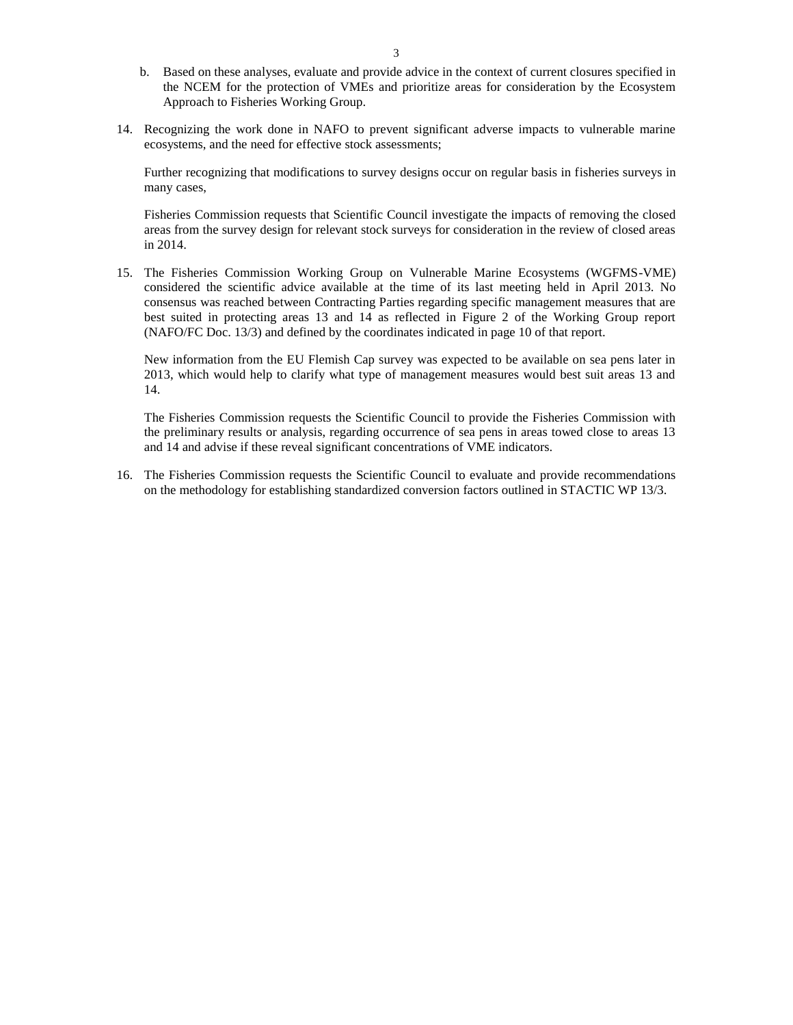- b. Based on these analyses, evaluate and provide advice in the context of current closures specified in the NCEM for the protection of VMEs and prioritize areas for consideration by the Ecosystem Approach to Fisheries Working Group.
- 14. Recognizing the work done in NAFO to prevent significant adverse impacts to vulnerable marine ecosystems, and the need for effective stock assessments;

Further recognizing that modifications to survey designs occur on regular basis in fisheries surveys in many cases,

Fisheries Commission requests that Scientific Council investigate the impacts of removing the closed areas from the survey design for relevant stock surveys for consideration in the review of closed areas in 2014.

15. The Fisheries Commission Working Group on Vulnerable Marine Ecosystems (WGFMS-VME) considered the scientific advice available at the time of its last meeting held in April 2013. No consensus was reached between Contracting Parties regarding specific management measures that are best suited in protecting areas 13 and 14 as reflected in Figure 2 of the Working Group report (NAFO/FC Doc. 13/3) and defined by the coordinates indicated in page 10 of that report.

New information from the EU Flemish Cap survey was expected to be available on sea pens later in 2013, which would help to clarify what type of management measures would best suit areas 13 and 14.

The Fisheries Commission requests the Scientific Council to provide the Fisheries Commission with the preliminary results or analysis, regarding occurrence of sea pens in areas towed close to areas 13 and 14 and advise if these reveal significant concentrations of VME indicators.

16. The Fisheries Commission requests the Scientific Council to evaluate and provide recommendations on the methodology for establishing standardized conversion factors outlined in STACTIC WP 13/3.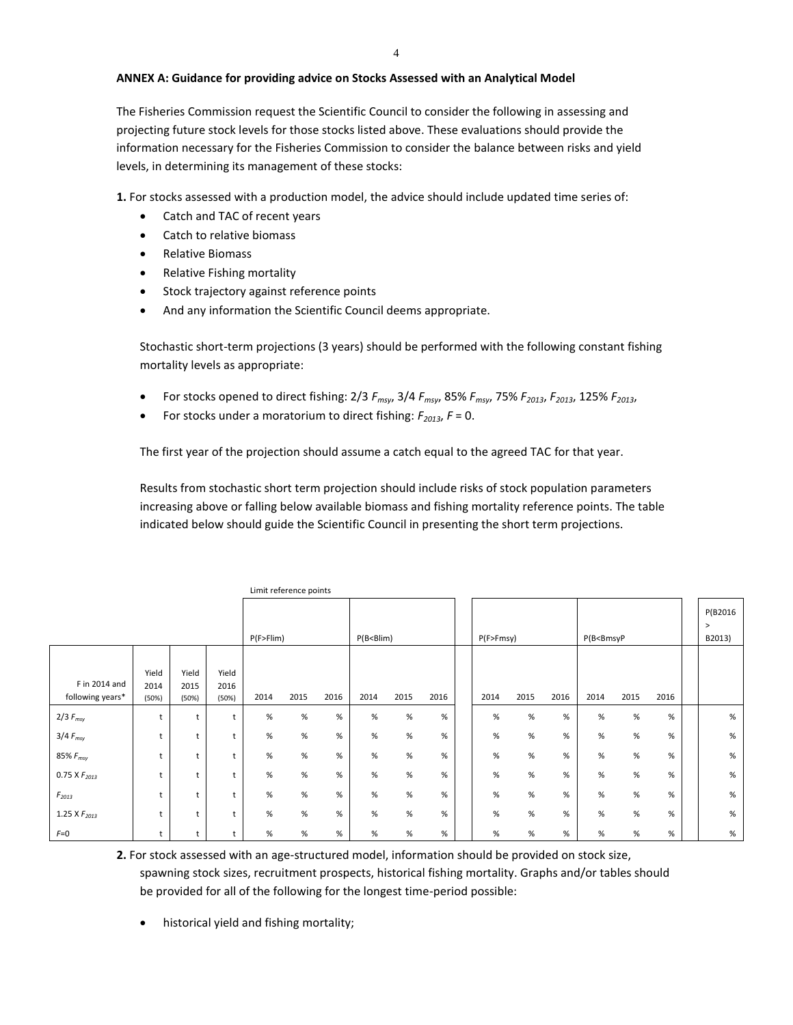## **ANNEX A: Guidance for providing advice on Stocks Assessed with an Analytical Model**

The Fisheries Commission request the Scientific Council to consider the following in assessing and projecting future stock levels for those stocks listed above. These evaluations should provide the information necessary for the Fisheries Commission to consider the balance between risks and yield levels, in determining its management of these stocks:

**1.** For stocks assessed with a production model, the advice should include updated time series of:

- Catch and TAC of recent years
- Catch to relative biomass
- Relative Biomass
- Relative Fishing mortality
- Stock trajectory against reference points
- And any information the Scientific Council deems appropriate.

Stochastic short-term projections (3 years) should be performed with the following constant fishing mortality levels as appropriate:

- For stocks opened to direct fishing: 2/3 *Fmsy*, 3/4 *Fmsy*, 85% *Fmsy*, 75% *F2013*, *F2013*, 125% *F2013*,
- For stocks under a moratorium to direct fishing:  $F_{2013}$ ,  $F = 0$ .

The first year of the projection should assume a catch equal to the agreed TAC for that year.

Results from stochastic short term projection should include risks of stock population parameters increasing above or falling below available biomass and fishing mortality reference points. The table indicated below should guide the Scientific Council in presenting the short term projections.

|                                   |                        |                        |                        | P(F > Film) |      |      | $P(B < B$ lim) |      |      | P(F>Fmsy) |      |      | P(B <bmsyp< td=""><td></td><td></td><td>P(B2016<br/><math>\geq</math><br/>B2013)</td></bmsyp<> |      |      | P(B2016<br>$\geq$<br>B2013) |
|-----------------------------------|------------------------|------------------------|------------------------|-------------|------|------|----------------|------|------|-----------|------|------|------------------------------------------------------------------------------------------------|------|------|-----------------------------|
| F in 2014 and<br>following years* | Yield<br>2014<br>(50%) | Yield<br>2015<br>(50%) | Yield<br>2016<br>(50%) | 2014        | 2015 | 2016 | 2014           | 2015 | 2016 | 2014      | 2015 | 2016 | 2014                                                                                           | 2015 | 2016 |                             |
| $2/3 F_{msy}$                     | t                      | t                      | $\ddot{}$              | %           | %    | %    | %              | %    | %    | $\%$      | $\%$ | %    | %                                                                                              | %    | %    | %                           |
| $3/4 F_{msy}$                     |                        | t                      |                        | %           | %    | %    | %              | %    | %    | $\%$      | $\%$ | %    | $\%$                                                                                           | $\%$ | %    | $\%$                        |
| 85% $F_{msy}$                     |                        | t                      |                        | %           | %    | %    | %              | %    | %    | $\%$      | $\%$ | %    | $\%$                                                                                           | $\%$ | %    | $\%$                        |
| $0.75$ X $F_{2013}$               |                        | t                      |                        | %           | $\%$ | $\%$ | %              | %    | %    | $\%$      | $\%$ | %    | $\%$                                                                                           | $\%$ | %    | $\%$                        |
| $F_{2013}$                        |                        | t                      |                        | %           | %    | %    | %              | %    | %    | $\%$      | %    | %    | $\%$                                                                                           | $\%$ | %    | $\%$                        |
| 1.25 X $F_{2013}$                 |                        | t                      |                        | %           | %    | %    | %              | %    | %    | $\%$      | $\%$ | %    | $\%$                                                                                           | %    | %    | $\%$                        |
| $F=0$                             | t                      | t                      |                        | %           | %    | $\%$ | %              | %    | $\%$ | %         | $\%$ | $\%$ | $\%$                                                                                           | %    | %    | $\%$                        |

Limit reference points

**2.** For stock assessed with an age-structured model, information should be provided on stock size, spawning stock sizes, recruitment prospects, historical fishing mortality. Graphs and/or tables should be provided for all of the following for the longest time-period possible:

• historical yield and fishing mortality;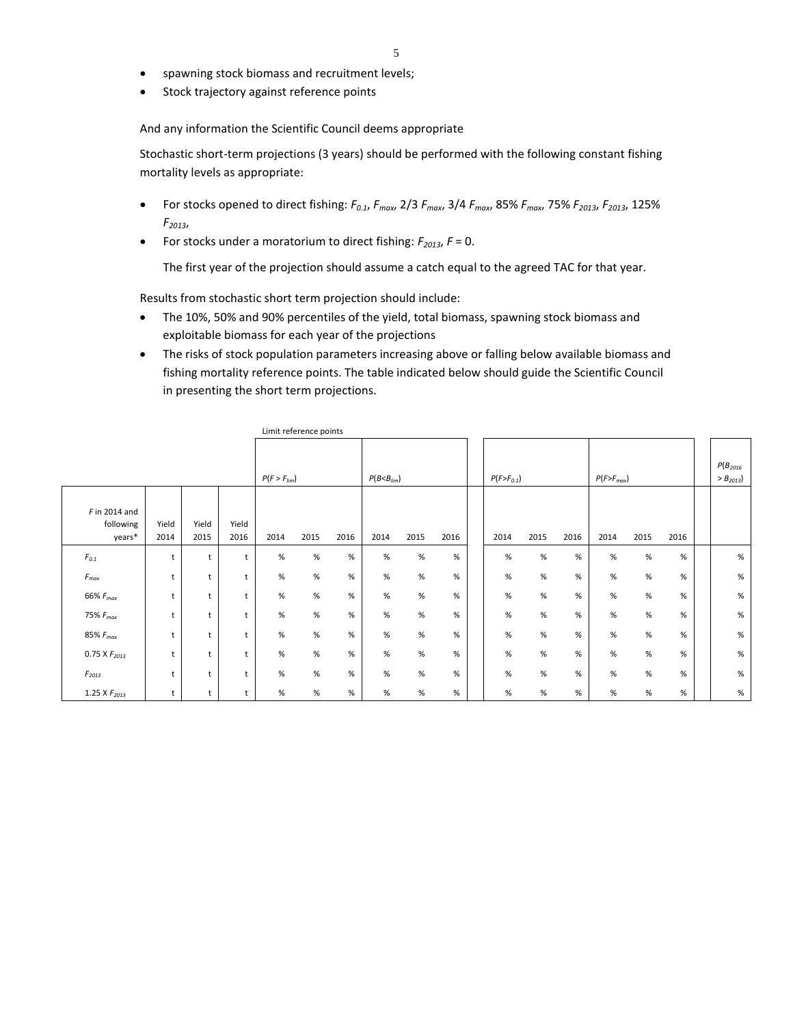- spawning stock biomass and recruitment levels;
- Stock trajectory against reference points

And any information the Scientific Council deems appropriate

Stochastic short-term projections (3 years) should be performed with the following constant fishing mortality levels as appropriate:

- For stocks opened to direct fishing:  $F_{0.1}$ ,  $F_{max}$ , 2/3  $F_{max}$ , 3/4  $F_{max}$ , 85%  $F_{max}$ , 75%  $F_{2013}$ ,  $F_{2013}$ , 125% *F2013*,
- For stocks under a moratorium to direct fishing:  $F_{2013}$ ,  $F = 0$ .

The first year of the projection should assume a catch equal to the agreed TAC for that year.

Results from stochastic short term projection should include:

- The 10%, 50% and 90% percentiles of the yield, total biomass, spawning stock biomass and exploitable biomass for each year of the projections
- The risks of stock population parameters increasing above or falling below available biomass and fishing mortality reference points. The table indicated below should guide the Scientific Council in presenting the short term projections.

|                                        |               |               |               |                  | LITTLE FOR LITTLE POINTS |      |                  |      |      |  |                  |      |      |                |      |      |                                   |
|----------------------------------------|---------------|---------------|---------------|------------------|--------------------------|------|------------------|------|------|--|------------------|------|------|----------------|------|------|-----------------------------------|
|                                        |               |               |               | $P(F > F_{lim})$ |                          |      | $P(B < B_{lim})$ |      |      |  | $P(F > F_{0.1})$ |      |      | $P(F>F_{max})$ |      |      | $P(B_{2016})$<br>$>$ $B_{2013}$ ) |
| $F$ in 2014 and<br>following<br>years* | Yield<br>2014 | Yield<br>2015 | Yield<br>2016 | 2014             | 2015                     | 2016 | 2014             | 2015 | 2016 |  | 2014             | 2015 | 2016 | 2014           | 2015 | 2016 |                                   |
| $\mathfrak{F}_{0.1}$                   | t             | t             | t             | %                | $\%$                     | %    | $\%$             | %    | %    |  | $\%$             | $\%$ | %    | $\%$           | %    | %    | %                                 |
| $F_{\it max}$                          | t             | t             | $\mathsf{t}$  | $\%$             | %                        | $\%$ | $\%$             | $\%$ | $\%$ |  | %                | $\%$ | $\%$ | $\%$           | $\%$ | $\%$ | $\%$                              |
| $66\% F_{max}$                         | t             | t             | t             | $\%$             | $\%$                     | %    | $\%$             | $\%$ | %    |  | $\%$             | $\%$ | $\%$ | $\%$           | %    | $\%$ | $\%$                              |
| 75% $F_{max}$                          | t             | t             | t             | $\%$             | %                        | %    | $\%$             | $\%$ | $\%$ |  | $\%$             | $\%$ | $\%$ | $\%$           | $\%$ | $\%$ | $\%$                              |
| 85% $F_{max}$                          | t             | t             | t             | $\%$             | %                        | %    | %                | $\%$ | %    |  | %                | $\%$ | %    | $\%$           | %    | %    | %                                 |
| 0.75 X $F_{2013}$                      | t             | t             | t             | $\%$             | %                        | %    | $\%$             | $\%$ | %    |  | %                | $\%$ | $\%$ | $\%$           | %    | %    | $\%$                              |
| $F_{2013}$                             | t             | t             | t             | $\%$             | $\%$                     | $\%$ | $\%$             | %    | $\%$ |  | $\%$             | $\%$ | $\%$ | $\%$           | $\%$ | %    | $\%$                              |
| 1.25 X $F_{2013}$                      | t             | t             | t             | $\%$             | $\%$                     | %    | $\%$             | $\%$ | %    |  | $\%$             | $\%$ | $\%$ | $\%$           | $\%$ | $\%$ | $\%$                              |

Limit reference points